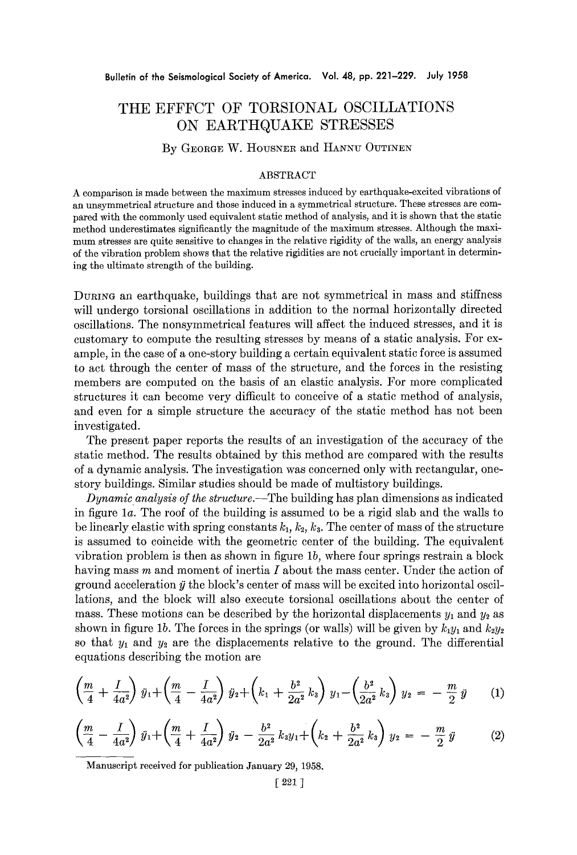## **THE EFFFCT OF TORSIONAL OSCILLATIONS ON EARTHQUAKE STRESSES**

## By GEORGE W. HOUSNER and HANNU OUTINEN

## ABSTRACT

A comparison is made between the maximum stresses induced by earthquake-excited vibrations of an unsymmetrical structure and those induced in a symmetrical structure. These stresses are compared with the commonly used equivalent static method of analysis, and it is shown that the static method underestimates significantly the magnitude of the maximum stresses. Although the maximum stresses are quite sensitive to changes in the relative rigidity of the walls, an energy analysis of the vibration problem shows that the relative rigidities are not crucially important in determining the ultimate strength of the building.

DURING an earthquake, buildings that are not symmetrical in mass and stiffness will undergo torsional oscillations in addition to the normal horizontally directed oscillations. The nonsymmetrical features will affect the induced stresses, and it is customary to compute the resulting stresses by means of a static analysis. For example, in the case of a one-story building a certain equivalent static force is assumed to act through the center of mass of the structure, and the forces in the resisting members are computed on the basis of an elastic analysis. For more complicated structures it can become very difficult to conceive of a static method of analysis, and even for a simple structure the accuracy of the static method has not been investigated.

The present paper reports the results of an investigation of the accuracy of the static method. The results obtained by this method are compared with the results of a dynamic analysis. The investigation was concerned only with rectangular, onestory buildings. Similar studies should be made of multistory buildings.

*Dynamic analysis of the structure.--The* building has plan dimensions as indicated in figure la. The roof of the building is assumed to be a rigid slab and the walls to be linearly elastic with spring constants  $k_1, k_2, k_3$ . The center of mass of the structure is assumed to coincide with the geometric center of the building. The equivalent vibration problem is then as shown in figure lb, where four springs restrain a block having mass  $m$  and moment of inertia  $I$  about the mass center. Under the action of ground acceleration  $\ddot{y}$  the block's center of mass will be excited into horizontal oscillations, and the block will also execute torsional oscillations about the center of mass. These motions can be described by the horizontal displacements  $y_1$  and  $y_2$  as shown in figure 1b. The forces in the springs (or walls) will be given by  $k_1y_1$  and  $k_2y_2$ so that  $y_1$  and  $y_2$  are the displacements relative to the ground. The differential equations describing the motion are

$$
\left(\frac{m}{4} + \frac{I}{4a^2}\right)\dot{y}_1 + \left(\frac{m}{4} - \frac{I}{4a^2}\right)\dot{y}_2 + \left(k_1 + \frac{b^2}{2a^2}\,k_3\right)\,y_1 - \left(\frac{b^2}{2a^2}\,k_3\right)\,y_2 = -\,\frac{m}{2}\,\ddot{y} \tag{1}
$$

$$
\left(\frac{m}{4}-\frac{I}{4a^2}\right)\ddot{y}_1+\left(\frac{m}{4}+\frac{I}{4a^2}\right)\ddot{y}_2-\frac{b^2}{2a^2}k_3y_1+\left(k_2+\frac{b^2}{2a^2}k_3\right)y_2=-\frac{m}{2}\ddot{y}
$$
 (2)

Manuscript received for publication January 29, 1958.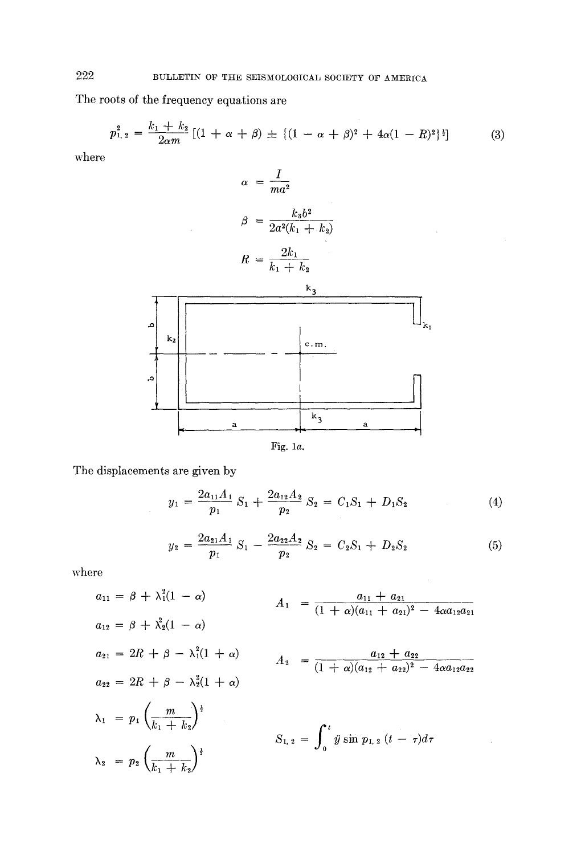The roots of the frequency equations are

$$
p_{1,2}^2 = \frac{k_1 + k_2}{2\alpha m} \left[ (1 + \alpha + \beta) \pm \{ (1 - \alpha + \beta)^2 + 4\alpha (1 - R)^2 \}^{\frac{1}{2}} \right] \tag{3}
$$

where



The displacements are given by

$$
y_1 = \frac{2a_{11}A_1}{p_1} S_1 + \frac{2a_{12}A_2}{p_2} S_2 = C_1S_1 + D_1S_2 \tag{4}
$$

$$
y_2 = \frac{2a_{21}A_1}{p_1} S_1 - \frac{2a_{22}A_2}{p_2} S_2 = C_2S_1 + D_2S_2 \tag{5}
$$

 $\bar{z}$ 

where

$$
a_{11} = \beta + \lambda_1^2 (1 - \alpha)
$$
\n
$$
a_{12} = \beta + \lambda_2^2 (1 - \alpha)
$$
\n
$$
a_{21} = 2R + \beta - \lambda_1^2 (1 + \alpha)
$$
\n
$$
a_{22} = 2R + \beta - \lambda_2^2 (1 + \alpha)
$$
\n
$$
a_{22} = 2R + \beta - \lambda_2^2 (1 + \alpha)
$$
\n
$$
a_{23} = 2R + \beta - \lambda_3^2 (1 + \alpha)
$$
\n
$$
a_{24} = \frac{a_{12} + a_{22}}{(1 + \alpha)(a_{12} + a_{22})^2 - 4\alpha a_{12} a_{22}}
$$
\n
$$
\lambda_1 = p_1 \left(\frac{m}{k_1 + k_2}\right)^{\frac{1}{2}}
$$
\n
$$
S_{1,2} = \int_0^t \dot{y} \sin p_{1,2} (t - \tau) d\tau
$$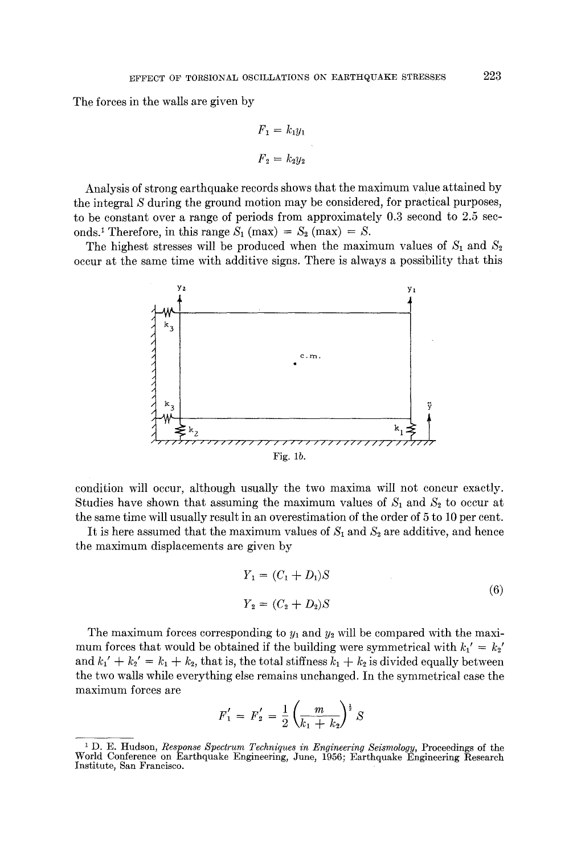The forces in the walls are given by

$$
F_1 = k_1 y_1
$$

$$
F_2 = k_2 y_2
$$

Analysis of strong earthquake records shows that the maximum value attained by the integral S during the ground motion may be considered, for practical purposes, to be constant over a range of periods from approximately 0.3 second to 2.5 seconds.<sup>1</sup> Therefore, in this range  $S_1$  (max) =  $S_2$  (max) = S.

The highest stresses will be produced when the maximum values of  $S_1$  and  $S_2$ occur at the same time with additive signs. There is always a possibility that this



condition will occur, although usually the two maxima will not concur exactly. Studies have shown that assuming the maximum values of  $S_1$  and  $S_2$  to occur at the same time will usually result in an overestimation of the order of 5 to 10 per cent.

It is here assumed that the maximum values of  $S_1$  and  $S_2$  are additive, and hence the maximum displacements are given by

$$
Y_1 = (C_1 + D_1)S
$$
  
\n
$$
Y_2 = (C_2 + D_2)S
$$
\n(6)

The maximum forces corresponding to  $y_1$  and  $y_2$  will be compared with the maximum forces that would be obtained if the building were symmetrical with  $k_1' = k_2'$ and  $k_1' + k_2' = k_1 + k_2$ , that is, the total stiffness  $k_1 + k_2$  is divided equally between the two walls while everything else remains unchanged. In the symmetrical case the maximum forces are

$$
F_1' = F_2' = \frac{1}{2} \left( \frac{m}{k_1 + k_2} \right)^{\frac{1}{2}} S
$$

<sup>&</sup>lt;sup>1</sup> D. E. Hudson, *Response Spectrum Techniques in Engineering Seismology*, Proceedings of the World Conference on Earthquake Engineering, June, 1956; Earthquake Engineering Research Institute, San Francisco.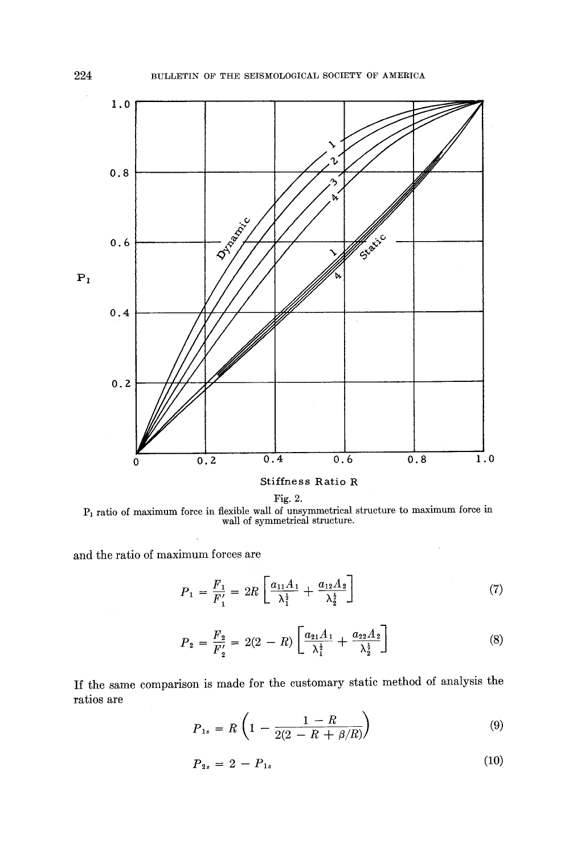

Fig. 2.  $P_1$  ratio of maximum force in flexible wall of unsymmetrical structure to maximum force in wall of symmetrical structure.

and the ratio of maximum forces are

$$
P_1 = \frac{F_1}{F_1'} = 2R \left[ \frac{a_{11}A_1}{\lambda_1^{\frac{1}{2}}} + \frac{a_{12}A_2}{\lambda_2^{\frac{1}{2}}} \right]
$$
 (7)

$$
P_2 = \frac{F_2}{F_2'} = 2(2 - R) \left[ \frac{a_{21}A_1}{\lambda_1^{\frac{1}{2}}} + \frac{a_{22}A_2}{\lambda_2^{\frac{1}{2}}} \right]
$$
(8)

If the same comparison is made for the customary static method of analysis the ratios are

$$
P_{1s} = R \left( 1 - \frac{1 - R}{2(2 - R + \beta/R)} \right) \tag{9}
$$

$$
P_{2s} = 2 - P_{1s} \tag{10}
$$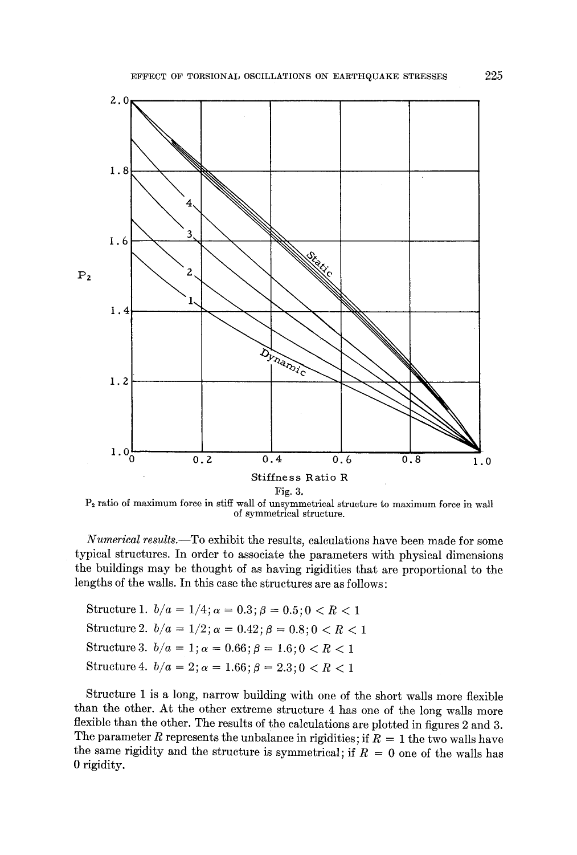

 $P<sub>2</sub>$  ratio of maximum force in stiff wall of unsymmetrical structure to maximum force in wall of symmetrical structure.

*Numerical results.--To* exhibit the results, calculations have been made for some typical structures. In order to associate the parameters with physical dimensions the buildings may be thought of as having rigidities that are proportional to the lengths of the walls. In this case the structures are as follows:

Structure 1.  $b/a = 1/4$ ;  $\alpha = 0.3$ ;  $\beta = 0.5$ ;  $0 < R < 1$ Structure 2.  $b/a = 1/2$ ;  $\alpha = 0.42$ ;  $\beta = 0.8$ ;  $0 < R < 1$ Structure 3.  $b/a = 1$ ;  $\alpha = 0.66$ ;  $\beta = 1.6$ ;  $0 < R < 1$ Structure 4.  $b/a = 2$ ;  $\alpha = 1.66$ ;  $\beta = 2.3$ ;  $0 < R < 1$ 

Structure 1 is a long, narrow building with one of the short walls more flexible than the other. At the other extreme structure 4 has one of the long walls more flexible than the other. The results of the calculations are plotted in figures 2 and 3. The parameter R represents the unbalance in rigidities; if  $R = 1$  the two walls have the same rigidity and the structure is symmetrical; if  $R = 0$  one of the walls has 0 rigidity.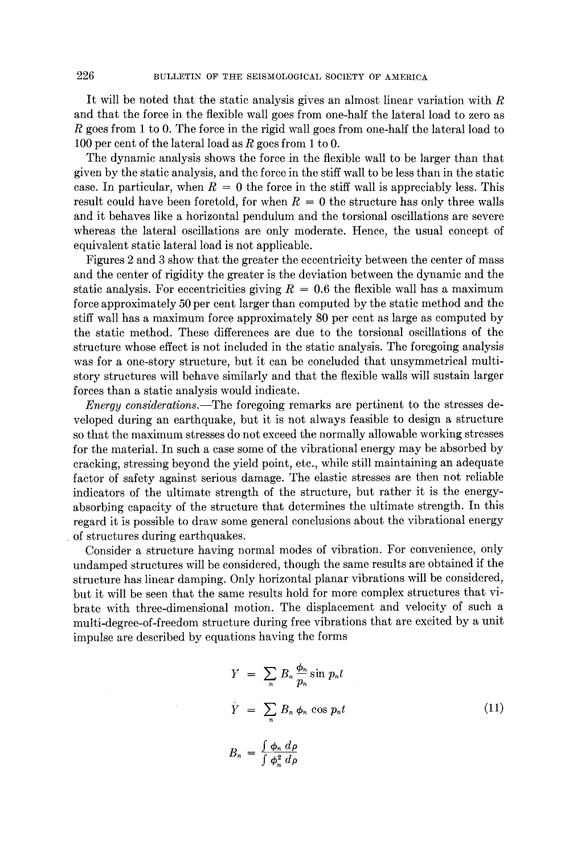It will be noted that the static analysis gives an almost linear variation with R and that the force in the flexible wall goes from one-half the lateral load to zero as R goes from 1 to 0. The force in the rigid wall goes from one-half the lateral load to 100 per cent of the lateral load as R goes from 1 to 0.

The dynamic analysis shows the force in the flexible wall to be larger than that given by the static analysis, and the force in the stiff wall to be less than in the static case. In particular, when  $R = 0$  the force in the stiff wall is appreciably less. This result could have been foretold, for when  $R = 0$  the structure has only three walls and it behaves like a horizontal pendulum and the torsional oscillations are severe whereas the lateral oscillations are only moderate. Hence, the usual concept of equivalent static lateral load is not applicable.

Figures 2 and 3 show that the greater the eccentricity between the center of mass and the center of rigidity the greater is the deviation between the dynamic and the static analysis. For eccentricities giving  $R = 0.6$  the flexible wall has a maximum force approximately 50 per cent larger than computed by tbe static method and the stiff wall has a maximum force approximately 80 per cent as large as computed by the static method. These differences are due to the torsional oscillations of the structure whose effect is not included in the static analysis. The foregoing analysis was for a one-story structure, but it can be concluded that unsymmetrical multistory structures will behave similarly and that the flexible walls will sustain larger forces than a static analysis would indicate.

*Energy considerations.--The* foregoing remarks are pertinent to the stresses developed during an earthquake, but it is not always feasible to design a structure so that the maximum stresses do not exceed the normally allowable working stresses for the material. In such a ease some of the vibrational energy may be absorbed by cracking, stressing beyond the yield point, etc., while still maintaining an adequate factor of safety against serious damage. The elastic stresses are then not reliable indicators of the ultimate strength of the structure, but rather it is the energyabsorbing capacity of the structure that determines the ultimate strength. In this regard it is possible to draw some general conclusions about the vibrational energy of structures during earthquakes.

Consider a structure having normal modes of vibration. For convenience, only undamped structures will be considered, though the same results are obtained if the structure has linear damping. Only horizontal planar vibrations will be considered, but it will be seen that the same results hold for more complex structures that vibrate with three-dimensional motion. The displacement and velocity of such a multi-degree-of-freedom structure during free vibrations that are excited by a unit impulse are described by equations having the forms

$$
Y = \sum_{n} B_n \frac{\phi_n}{p_n} \sin p_n t
$$
  
\n
$$
\dot{Y} = \sum_{n} B_n \phi_n \cos p_n t
$$
  
\n
$$
B_n = \frac{\int \phi_n d\rho}{\int \phi_n^2 d\rho}
$$
\n(11)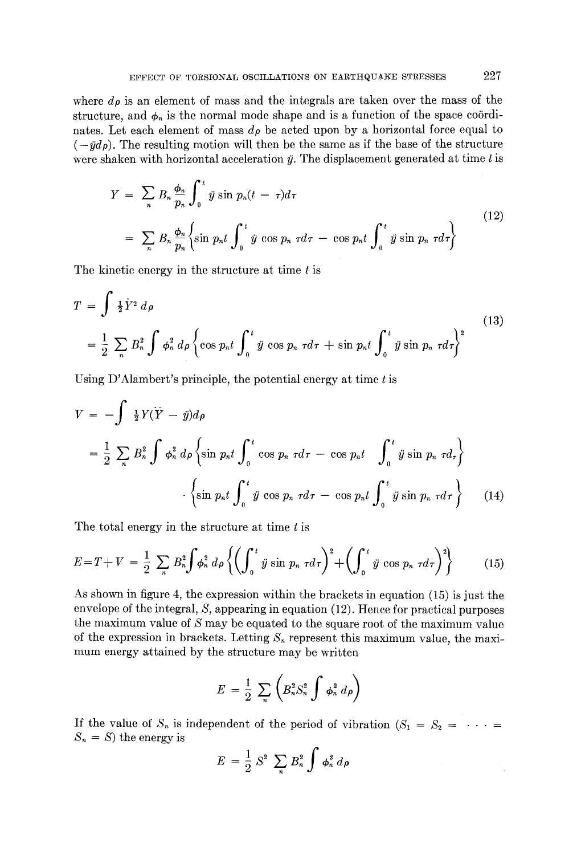where  $d\rho$  is an element of mass and the integrals are taken over the mass of the structure, and  $\phi_n$  is the normal mode shape and is a function of the space coördinates. Let each element of mass  $d\rho$  be acted upon by a horizontal force equal to  $(-\ddot{y}d\rho)$ . The resulting motion will then be the same as if the base of the structure were shaken with horizontal acceleration  $\ddot{y}$ . The displacement generated at time t is

$$
Y = \sum_{n} B_n \frac{\phi_n}{p_n} \int_0^t \dot{y} \sin p_n (t - \tau) d\tau
$$
  
= 
$$
\sum_{n} B_n \frac{\phi_n}{p_n} \left\{ \sin p_n t \int_0^t \ddot{y} \cos p_n \tau d\tau - \cos p_n t \int_0^t \ddot{y} \sin p_n \tau d\tau \right\}
$$
(12)

The kinetic energy in the structure at time  $t$  is

$$
T = \int \frac{1}{2} \dot{Y}^2 d\rho
$$
  
=  $\frac{1}{2} \sum_n B_n^2 \int \phi_n^2 d\rho \left\{ \cos p_n t \int_0^t \dot{y} \cos p_n \tau d\tau + \sin p_n t \int_0^t \dot{y} \sin p_n \tau d\tau \right\}^2$  (13)

Using  $D'$ Alambert's principle, the potential energy at time  $t$  is

$$
V = -\int \frac{1}{2}Y(\ddot{Y} - \ddot{y})d\rho
$$
  
=  $\frac{1}{2}\sum_{n}B_{n}^{2}\int \phi_{n}^{2}d\rho \left\{\sin p_{n}t \int_{0}^{t} \cos p_{n} \tau d\tau - \cos p_{n}t \int_{0}^{t} \ddot{y} \sin p_{n} \tau d\tau \right\}$   

$$
\cdot \left\{\sin p_{n}t \int_{0}^{t} \ddot{y} \cos p_{n} \tau d\tau - \cos p_{n}t \int_{0}^{t} \ddot{y} \sin p_{n} \tau d\tau \right\}
$$
(14)

The total energy in the structure at time  $t$  is

$$
E = T + V = \frac{1}{2} \sum_{n} B_{n}^{2} \int \phi_{n}^{2} d\rho \left\{ \left( \int_{0}^{t} \dot{y} \sin p_{n} \tau d\tau \right)^{2} + \left( \int_{0}^{t} \dot{y} \cos p_{n} \tau d\tau \right)^{2} \right\} \tag{15}
$$

As shown in figure 4, the expression within the brackets in equation (15) is just the envelope of the integral, S, appearing in equation (12). Hence for practical purposes the maximum value of S may be equated to the square root of the maximum value of the expression in brackets. Letting  $S_n$  represent this maximum value, the maximum energy attained by the structure may be written

$$
E = \frac{1}{2} \sum_{n} \left( B_n^2 S_n^2 \int \phi_n^2 d\rho \right)
$$

If the value of  $S_n$  is independent of the period of vibration  $(S_1 = S_2 = \cdots =$  $S_n = S$ ) the energy is

$$
E = \frac{1}{2} S^2 \sum_n B_n^2 \int \phi_n^2 d\rho
$$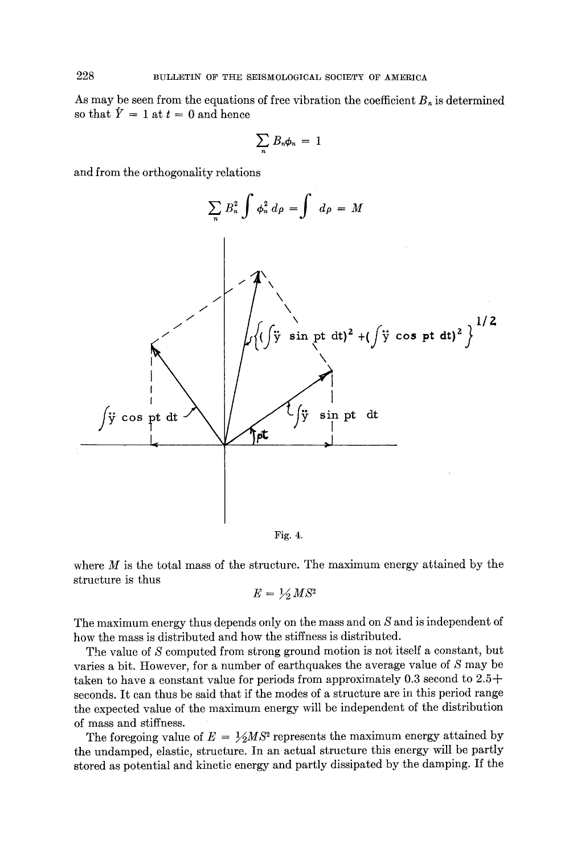As may be seen from the equations of free vibration the coefficient  $B_n$  is determined so that  $\dot{Y} = 1$  at  $t = 0$  and hence

$$
\sum_n B_n \phi_n = 1
$$

and from the orthogonality relations



Fig. 4.

where  $M$  is the total mass of the structure. The maximum energy attained by the structure is thus

$$
E = \frac{1}{2} MS^2
$$

The maximum energy thus depends only on the mass and on S and is independent of how the mass is distributed and how the stiffness is distributed.

The value of S computed from strong ground motion is not itself a constant, but varies a bit. However, for a number of earthquakes the average value of S may be taken to have a constant value for periods from approximately  $0.3$  second to  $2.5+$ seconds. It can thus be said that if the modes of a structure are in this period range the expected value of the maximum energy will be independent of the distribution of mass and stiffness.

The foregoing value of  $E = \frac{1}{2} MS^2$  represents the maximum energy attained by the undamped, elastic, structure. In an actual strueture this energy will be partly stored as potential and kinetic energy and partly dissipated by the damping. If the